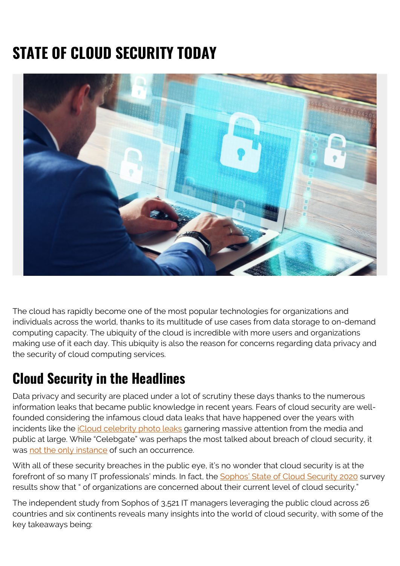# **STATE OF CLOUD SECURITY TODAY**



The cloud has rapidly become one of the most popular technologies for organizations and individuals across the world, thanks to its multitude of use cases from data storage to on-demand computing capacity. The ubiquity of the cloud is incredible with more users and organizations making use of it each day. This ubiquity is also the reason for concerns regarding data privacy and the security of cloud computing services.

#### **Cloud Security in the Headlines**

Data privacy and security are placed under a lot of scrutiny these days thanks to the numerous information leaks that became public knowledge in recent years. Fears of cloud security are wellfounded considering the infamous cloud data leaks that have happened over the years with incidents like the *iCloud celebrity photo leaks* garnering massive attention from the media and public at large. While "Celebgate" was perhaps the most talked about breach of cloud security, it was [not the only instance](https://blog.storagecraft.com/7-infamous-cloud-security-breaches/) of such an occurrence.

With all of these security breaches in the public eye, it's no wonder that cloud security is at the forefront of so many IT professionals' minds. In fact, the [Sophos' State of Cloud Security 2020](https://secure2.sophos.com/en-us/medialibrary/pdfs/whitepaper/sophos-the-state-of-cloud-security-2020-wp.pdf) survey results show that " of organizations are concerned about their current level of cloud security."

The independent study from Sophos of 3,521 IT managers leveraging the public cloud across 26 countries and six continents reveals many insights into the world of cloud security, with some of the key takeaways being: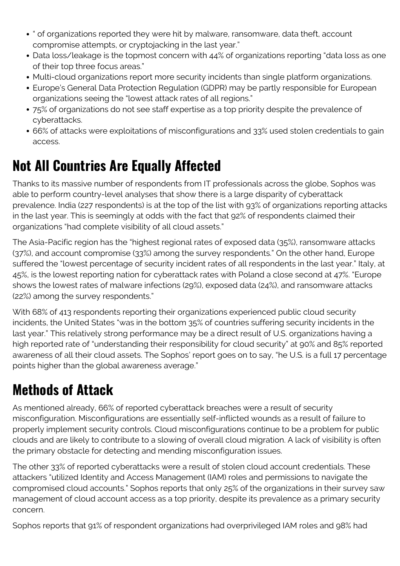- " of organizations reported they were hit by malware, ransomware, data theft, account compromise attempts, or cryptojacking in the last year."
- Data loss/leakage is the topmost concern with 44% of organizations reporting "data loss as one of their top three focus areas."
- Multi-cloud organizations report more security incidents than single platform organizations.
- Europe's General Data Protection Regulation (GDPR) may be partly responsible for European organizations seeing the "lowest attack rates of all regions."
- 75% of organizations do not see staff expertise as a top priority despite the prevalence of cyberattacks.
- 66% of attacks were exploitations of misconfigurations and 33% used stolen credentials to gain access.

### **Not All Countries Are Equally Affected**

Thanks to its massive number of respondents from IT professionals across the globe, Sophos was able to perform country-level analyses that show there is a large disparity of cyberattack prevalence. India (227 respondents) is at the top of the list with 93% of organizations reporting attacks in the last year. This is seemingly at odds with the fact that 92% of respondents claimed their organizations "had complete visibility of all cloud assets."

The Asia-Pacific region has the "highest regional rates of exposed data (35%), ransomware attacks (37%), and account compromise (33%) among the survey respondents." On the other hand, Europe suffered the "lowest percentage of security incident rates of all respondents in the last year." Italy, at 45%, is the lowest reporting nation for cyberattack rates with Poland a close second at 47%. "Europe shows the lowest rates of malware infections (29%), exposed data (24%), and ransomware attacks (22%) among the survey respondents."

With 68% of 413 respondents reporting their organizations experienced public cloud security incidents, the United States "was in the bottom 35% of countries suffering security incidents in the last year." This relatively strong performance may be a direct result of U.S. organizations having a high reported rate of "understanding their responsibility for cloud security" at 90% and 85% reported awareness of all their cloud assets. The Sophos' report goes on to say, "he U.S. is a full 17 percentage points higher than the global awareness average."

## **Methods of Attack**

As mentioned already, 66% of reported cyberattack breaches were a result of security misconfiguration. Misconfigurations are essentially self-inflicted wounds as a result of failure to properly implement security controls. Cloud misconfigurations continue to be a problem for public clouds and are likely to contribute to a slowing of overall cloud migration. A lack of visibility is often the primary obstacle for detecting and mending misconfiguration issues.

The other 33% of reported cyberattacks were a result of stolen cloud account credentials. These attackers "utilized Identity and Access Management (IAM) roles and permissions to navigate the compromised cloud accounts." Sophos reports that only 25% of the organizations in their survey saw management of cloud account access as a top priority, despite its prevalence as a primary security concern.

Sophos reports that 91% of respondent organizations had overprivileged IAM roles and 98% had